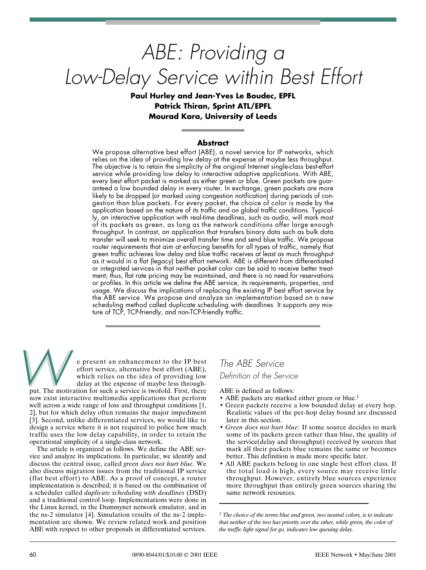# *ABE: Providing a Low-Delay Service within Best Effort*

# **Paul Hurley and Jean-Yves Le Boudec, EPFL Patrick Thiran, Sprint ATL/EPFL Mourad Kara, University of Leeds**

### **Abstract**

We propose alternative best effort (ABE), a novel service for IP networks, which relies on the idea of providing low delay at the expense of maybe less throughput. The objective is to retain the simplicity of the original Internet single-class best-effort service while providing low delay to interactive adaptive applications. With ABE, every best effort packet is marked as either green or blue. Green packets are guaranteed a low bounded delay in every router. In exchange, green packets are more likely to be dropped (or marked using congestion notification) during periods of congestion than blue packets. For every packet, the choice of color is made by the application based on the nature of its traffic and on global traffic conditions. Typically, an interactive application with real-time deadlines, such as audio, will mark most of its packets as green, as long as the network conditions offer large enough throughput. In contrast, an application that transfers binary data such as bulk data transfer will seek to minimize overall transfer time and send blue traffic. We propose router requirements that aim at enforcing benefits for all types of traffic, namely that green traffic achieves low delay and blue traffic receives at least as much throughput as it would in a flat (legacy) best effort network. ABE is different from differentiated or integrated services in that neither packet color can be said to receive better treatment; thus, flat rate pricing may be maintained, and there is no need for reservations or profiles. In this article we define the ABE service, its requirements, properties, and usage. We discuss the implications of replacing the existing IP best effort service by the ABE service. We propose and analyze an implementation based on a new scheduling method called duplicate scheduling with deadlines. It supports any mixture of TCP, TCP-friendly, and non-TCP-friendly traffic.

e present an enhancement to the IP best effort service, alternative best effort (ABE), which relies on the idea of providing low delay at the expense of maybe less throughe present an enhancement to the IP best<br>effort service, alternative best effort (ABE),<br>which relies on the idea of providing low<br>delay at the expense of maybe less through-<br>put. The motivation for such a service is twofold

now exist interactive multimedia applications that perform well across a wide range of loss and throughput conditions [1, 2], but for which delay often remains the major impediment [3]. Second, unlike differentiated services, we would like to design a service where it is not required to police how much traffic uses the low delay capability, in order to retain the operational simplicity of a single-class network.

The article is organized as follows. We define the ABE service and analyze its implications. In particular, we identify and discuss the central issue, called *green does not hurt blue*. We also discuss migration issues from the traditional IP service (flat best effort) to ABE. As a proof of concept, a router implementation is described; it is based on the combination of a scheduler called *duplicate scheduling with deadlines* (DSD) and a traditional control loop. Implementations were done in the Linux kernel, in the Dummynet network emulator, and in the ns-2 simulator [4]. Simulation results of the ns-2 implementation are shown. We review related work and position ABE with respect to other proposals in differentiated services.

*The ABE Service Definition of the Service*

ABE is defined as follows:

- ABE packets are marked either green or blue.<sup>1</sup>
- Green packets receive a low bounded delay at every hop. Realistic values of the per-hop delay bound are discussed later in this section.
- *Green does not hurt blue*: If some source decides to mark some of its packets green rather than blue, the quality of the service(delay and throughput) received by sources that mark all their packets blue remains the same or becomes better. This definition is made more specific later.
- All ABE packets belong to one single best effort class. If the total load is high, every source may receive little throughput. However, entirely blue sources experience more throughput than entirely green sources sharing the same network resources.

*<sup>1</sup> The choice of the terms blue and green, two neutral colors, is to indicate that neither of the two has priority over the other, while green, the color of the traffic light signal for go, indicates low queuing delay.*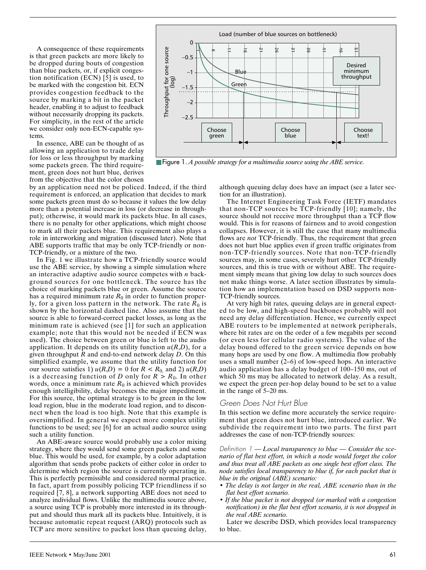A consequence of these requirements is that green packets are more likely to be dropped during bouts of congestion than blue packets, or, if explicit congestion notification (ECN)  $\overline{5}$  is used, to be marked with the congestion bit. ECN provides congestion feedback to the source by marking a bit in the packet header, enabling it to adjust to feedback without necessarily dropping its packets. For simplicity, in the rest of the article we consider only non-ECN-capable systems.

In essence, ABE can be thought of as allowing an application to trade delay for loss or less throughput by marking some packets green. The third requirement, green does not hurt blue, derives from the objective that the color chosen

by an application need not be policed. Indeed, if the third requirement is enforced, an application that decides to mark some packets green must do so because it values the low delay more than a potential increase in loss (or decrease in throughput); otherwise, it would mark its packets blue. In all cases, there is no penalty for other applications, which might choose to mark all their packets blue. This requirement also plays a role in interworking and migration (discussed later). Note that ABE supports traffic that may be only TCP-friendly or non-TCP-friendly, or a mixture of the two.

In Fig. 1 we illustrate how a TCP-friendly source would use the ABE service, by showing a simple simulation where an interactive adaptive audio source competes with *n* background sources for one bottleneck. The source has the choice of marking packets blue or green. Assume the source has a required minimum rate  $R_0$  in order to function properly, for a given loss pattern in the network. The rate  $R_0$  is shown by the horizontal dashed line. Also assume that the source is able to forward-correct packet losses, as long as the minimum rate is achieved (see [1] for such an application example; note that this would not be needed if ECN was used). The choice between green or blue is left to the audio application. It depends on its utility function  $u(R,D)$ , for a given throughput *R* and end-to-end network delay *D*. On this simplified example, we assume that the utility function for our source satisfies 1)  $u(R,D) = 0$  for  $R < R_0$  and 2)  $u(R,D)$ is a decreasing function of *D* only for  $R > R_0$ . In other words, once a minimum rate  $R_0$  is achieved which provides enough intelligibility, delay becomes the major impediment. For this source, the optimal strategy is to be green in the low load region, blue in the moderate load region, and to disconnect when the load is too high. Note that this example is oversimplified. In general we expect more complex utility functions to be used; see [6] for an actual audio source using such a utility function.

An ABE-aware source would probably use a color mixing strategy, where they would send some green packets and some blue. This would be used, for example, by a color adaptation algorithm that sends probe packets of either color in order to determine which region the source is currently operating in. This is perfectly permissible and considered normal practice. In fact, apart from possibly policing TCP friendliness if so required [7, 8], a network supporting ABE does not need to analyze individual flows. Unlike the multimedia source above, a source using TCP is probably more interested in its throughput and should thus mark all its packets blue. Intuitively, it is because automatic repeat request (ARQ) protocols such as TCP are more sensitive to packet loss than queuing delay,



■ Figure 1. *A possible strategy for a multimedia source using the ABE service.* 

although queuing delay does have an impact (see a later section for an illustration).

The Internet Engineering Task Force (IETF) mandates that non-TCP sources be TCP-friendly [10]; namely, the source should not receive more throughput than a TCP flow would. This is for reasons of fairness and to avoid congestion collapses. However, it is still the case that many multimedia flows are *not* TCP-friendly. Thus, the requirement that green does not hurt blue applies even if green traffic originates from non-TCP-friendly sources. Note that non-TCP-friendly sources may, in some cases, severely hurt other TCP-friendly sources, and this is true with or without ABE. The requirement simply means that giving low delay to such sources does not make things worse. A later section illustrates by simulation how an implementation based on DSD supports non-TCP-friendly sources.

At very high bit rates, queuing delays are in general expected to be low, and high-speed backbones probably will not need any delay differentiation. Hence, we currently expect ABE routers to be implemented at network peripherals, where bit rates are on the order of a few megabits per second (or even less for cellular radio systems). The value of the delay bound offered to the green service depends on how many hops are used by one flow. A multimedia flow probably uses a small number (2–6) of low-speed hops. An interactive audio application has a delay budget of 100–150 ms, out of which 50 ms may be allocated to network delay. As a result, we expect the green per-hop delay bound to be set to a value in the range of 5–20 ms.

#### *Green Does Not Hurt Blue*

In this section we define more accurately the service requirement that green does not hurt blue, introduced earlier. We subdivide the requirement into two parts. The first part addresses the case of non-TCP-friendly sources:

*Definition 1* — *Local transparency to blue — Consider the scenario of flat best effort, in which a node would forget the color and thus treat all ABE packets as one single best effort class. The node satisfies local transparency to blue if, for each packet that is blue in the original (ABE) scenario:*

- *The delay is not larger in the real, ABE scenario than in the flat best effort scenario.*
- *If the blue packet is not dropped (or marked with a congestion notification) in the flat best effort scenario, it is not dropped in the real ABE scenario.*

Later we describe DSD, which provides local transparency to blue.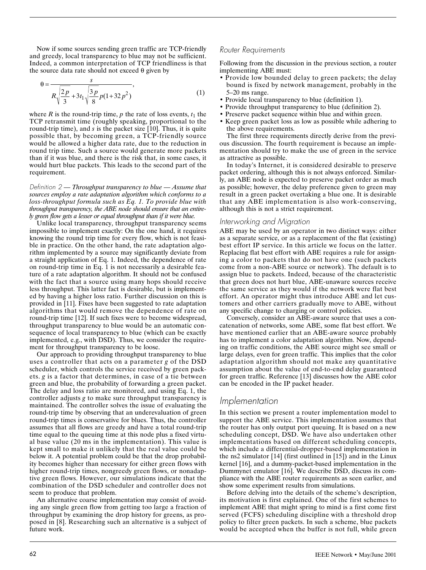Now if some sources sending green traffic are TCP-friendly and greedy, local transparency to blue may not be sufficient. Indeed, a common interpretation of TCP friendliness is that the source data rate should not exceed  $\theta$  given by

$$
\theta = \frac{s}{R\sqrt{\frac{2p}{3} + 3t_1\sqrt{\frac{3p}{8}p(1+32p^2)}}},
$$
\n(1)

where *R* is the round-trip time, *p* the rate of loss events,  $t_1$  the TCP retransmit time (roughly speaking, proportional to the round-trip time), and *s* is the packet size [10]. Thus, it is quite possible that, by becoming green, a TCP-friendly source would be allowed a higher data rate, due to the reduction in round trip time. Such a source would generate more packets than if it was blue, and there is the risk that, in some cases, it would hurt blue packets. This leads to the second part of the requirement.

*Definition 2* — *Throughput transparency to blue — Assume that sources employ a rate adaptation algorithm which conforms to a loss-throughput formula such as Eq. 1. To provide blue with throughput transparency, the ABE node should ensure that an entirely green flow gets a lesser or equal throughput than if it were blue.*

Unlike local transparency, throughput transparency seems impossible to implement exactly: On the one hand, it requires knowing the round trip time for every flow, which is not feasible in practice. On the other hand, the rate adaptation algorithm implemented by a source may significantly deviate from a straight application of Eq. 1. Indeed, the dependence of rate on round-trip time in Eq. 1 is not necessarily a desirable feature of a rate adaptation algorithm. It should not be confused with the fact that a source using many hops should receive less throughput. This latter fact is desirable, but is implemented by having a higher loss ratio. Further discussion on this is provided in [11]. Fixes have been suggested to rate adaptation algorithms that would remove the dependence of rate on round-trip time [12]. If such fixes were to become widespread, throughput transparency to blue would be an automatic consequence of local transparency to blue (which can be exactly implemented, e.g., with DSD). Thus, we consider the requirement for throughput transparency to be loose.

Our approach to providing throughput transparency to blue uses a controller that acts on a parameter *g* of the DSD scheduler, which controls the service received by green packets. *g* is a factor that determines, in case of a tie between green and blue, the probability of forwarding a green packet. The delay and loss ratio are monitored, and using Eq. 1, the controller adjusts *g* to make sure throughput transparency is maintained. The controller solves the issue of evaluating the round-trip time by observing that an underevaluation of green round-trip times is conservative for blues. Thus, the controller assumes that all flows are greedy and have a total round-trip time equal to the queuing time at this node plus a fixed virtual base value (20 ms in the implementation). This value is kept small to make it unlikely that the real value could be below it. A potential problem could be that the drop probability becomes higher than necessary for either green flows with higher round-trip times, nongreedy green flows, or nonadaptive green flows. However, our simulations indicate that the combination of the DSD scheduler and controller does not seem to produce that problem.

An alternative coarse implementation may consist of avoiding any single green flow from getting too large a fraction of throughput by examining the drop history for greens, as proposed in [8]. Researching such an alternative is a subject of future work.

## *Router Requirements*

Following from the discussion in the previous section, a router implementing ABE must:

- Provide low bounded delay to green packets; the delay bound is fixed by network management, probably in the 5–20 ms range.
- Provide local transparency to blue (definition 1).
- Provide throughput transparency to blue (definition 2).
- Preserve packet sequence within blue and within green.
- Keep green packet loss as low as possible while adhering to the above requirements.

The first three requirements directly derive from the previous discussion. The fourth requirement is because an implementation should try to make the use of green in the service as attractive as possible.

In today's Internet, it is considered desirable to preserve packet ordering, although this is not always enforced. Similarly, an ABE node is expected to preserve packet order as much as possible; however, the delay preference given to green may result in a green packet overtaking a blue one. It is desirable that any ABE implementation is also work-conserving, although this is not a strict requirement.

## *Interworking and Migration*

ABE may be used by an operator in two distinct ways: either as a separate service, or as a replacement of the flat (existing) best effort IP service. In this article we focus on the latter. Replacing flat best effort with ABE requires a rule for assigning a color to packets that do not have one (such packets come from a non-ABE source or network). The default is to assign blue to packets. Indeed, because of the characteristic that green does not hurt blue, ABE-unaware sources receive the same service as they would if the network were flat best effort. An operator might thus introduce ABE and let customers and other carriers gradually move to ABE, without any specific change to charging or control policies.

Conversely, consider an ABE-aware source that uses a concatenation of networks, some ABE, some flat best effort. We have mentioned earlier that an ABE-aware source probably has to implement a color adaptation algorithm. Now, depending on traffic conditions, the ABE source might see small or large delays, even for green traffic. This implies that the color adaptation algorithm should not make any quantitative assumption about the value of end-to-end delay guaranteed for green traffic. Reference [13] discusses how the ABE color can be encoded in the IP packet header.

# *Implementation*

In this section we present a router implementation model to support the ABE service. This implementation assumes that the router has only output port queuing. It is based on a new scheduling concept, DSD. We have also undertaken other implementations based on different scheduling concepts, which include a differential-dropper-based implementation in the ns2 simulator [14] (first outlined in [15]) and in the Linux kernel [16], and a dummy-packet-based implementation in the Dummynet emulator [16]. We describe DSD, discuss its compliance with the ABE router requirements as seen earlier, and show some experiment results from simulations.

Before delving into the details of the scheme's description, its motivation is first explained. One of the first schemes to implement ABE that might spring to mind is a first come first served (FCFS) scheduling discipline with a threshold drop policy to filter green packets. In such a scheme, blue packets would be accepted when the buffer is not full, while green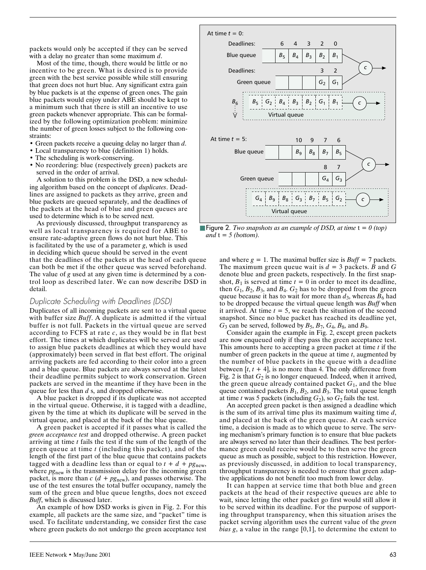packets would only be accepted if they can be served with a delay no greater than some maximum *d*.

Most of the time, though, there would be little or no incentive to be green. What is desired is to provide green with the best service possible while still ensuring that green does not hurt blue. Any significant extra gain by blue packets is at the expense of green ones. The gain blue packets would enjoy under ABE should be kept to a minimum such that there is still an incentive to use green packets whenever appropriate. This can be formalized by the following optimization problem: minimize the number of green losses subject to the following constraints:

- Green packets receive a queuing delay no larger than *d*.
- Local transparency to blue (definition 1) holds.
- The scheduling is work-conserving.
- No reordering: blue (respectively green) packets are served in the order of arrival.

A solution to this problem is the DSD, a new scheduling algorithm based on the concept of *duplicates*. Deadlines are assigned to packets as they arrive, green and blue packets are queued separately, and the deadlines of the packets at the head of blue and green queues are used to determine which is to be served next.

As previously discussed, throughput transparency as well as local transparency is required for ABE to ensure rate-adaptive green flows do not hurt blue. This is facilitated by the use of a parameter *g*, which is used in deciding which queue should be served in the event that the deadlines of the packets at the head of each queue can both be met if the other queue was served beforehand. The value of *g* used at any given time is determined by a control loop as described later. We can now describe DSD in detail.

#### *Duplicate Scheduling with Deadlines (DSD)*

Duplicates of all incoming packets are sent to a virtual queue with buffer size *Buff*. A duplicate is admitted if the virtual buffer is not full. Packets in the virtual queue are served according to FCFS at rate *c*, as they would be in flat best effort. The times at which duplicates will be served are used to assign blue packets deadlines at which they would have (approximately) been served in flat best effort. The original arriving packets are fed according to their color into a green and a blue queue. Blue packets are always served at the latest their deadline permits subject to work conservation. Green packets are served in the meantime if they have been in the queue for less than *d* s, and dropped otherwise.

A blue packet is dropped if its duplicate was not accepted in the virtual queue. Otherwise, it is tagged with a deadline, given by the time at which its duplicate will be served in the virtual queue, and placed at the back of the blue queue.

A green packet is accepted if it passes what is called the *green acceptance test* and dropped otherwise. A green packet arriving at time *t* fails the test if the sum of the length of the green queue at time *t* (including this packet), and of the length of the first part of the blue queue that contains packets tagged with a deadline less than or equal to  $t + d + pg_{\text{new}}$ , where  $p_{\text{Snew}}$  is the transmission delay for the incoming green packet, is more than  $c$  ( $d$  +  $pg_{\text{new}}$ ), and passes otherwise. The use of the test ensures the total buffer occupancy, namely the sum of the green and blue queue lengths, does not exceed *Buff*, which is discussed later.

An example of how DSD works is given in Fig. 2. For this example, all packets are the same size, and "packet" time is used. To facilitate understanding, we consider first the case where green packets do not undergo the green acceptance test



**E** Figure 2. *Two snapshots as an example of DSD, at time*  $t = 0$  *(top) and*  $t = 5$  *(bottom).* 

and where  $g = 1$ . The maximal buffer size is  $Buff = 7$  packets. The maximum green queue wait is  $d = 3$  packets. *B* and *G* denote blue and green packets, respectively. In the first snapshot,  $B_1$  is served at time  $t = 0$  in order to meet its deadline, then  $G_1$ ,  $B_2$ ,  $B_3$ , and  $B_4$ .  $G_2$  has to be dropped from the green queue because it has to wait for more than  $d_3$ , whereas  $B_6$  had to be dropped because the virtual queue length was *Buff* when it arrived. At time  $t = 5$ , we reach the situation of the second snapshot. Since no blue packet has reached its deadline yet,  $G_3$  can be served, followed by  $B_5$ ,  $B_7$ ,  $G_4$ ,  $B_8$ , and  $B_9$ .

Consider again the example in Fig. 2, except green packets are now enqueued only if they pass the green acceptance test. This amounts here to accepting a green packet at time *t* if the number of green packets in the queue at time *t*, augmented by the number of blue packets in the queue with a deadline between  $[t, t + 4]$ , is no more than 4. The only difference from Fig. 2 is that  $G_2$  is no longer enqueued. Indeed, when it arrived, the green queue already contained packet  $G_1$ , and the blue queue contained packets  $B_1$ ,  $B_2$ , and  $B_3$ . The total queue length at time *t* was 5 packets (including  $G_2$ ), so  $G_2$  fails the test.

An accepted green packet is then assigned a deadline which is the sum of its arrival time plus its maximum waiting time *d*, and placed at the back of the green queue. At each service time, a decision is made as to which queue to serve. The serving mechanism's primary function is to ensure that blue packets are always served no later than their deadlines. The best performance green could receive would be to then serve the green queue as much as possible, subject to this restriction. However, as previously discussed, in addition to local transparency, throughput transparency is needed to ensure that green adaptive applications do not benefit too much from lower delay.

It can happen at service time that both blue and green packets at the head of their respective queues are able to wait, since letting the other packet go first would still allow it to be served within its deadline. For the purpose of supporting throughput transparency, when this situation arises the packet serving algorithm uses the current value of the *green bias g*, a value in the range [0,1], to determine the extent to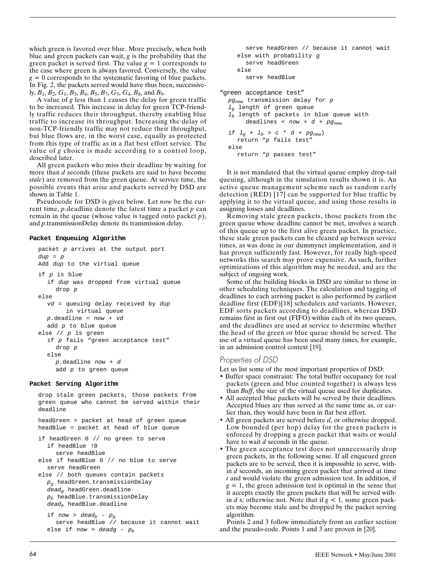which green is favored over blue. More precisely, when both blue and green packets can wait, *g* is the probability that the green packet is served first. The value  $g = 1$  corresponds to the case where green is always favored. Conversely, the value  $g = 0$  corresponds to the systematic favoring of blue packets. In Fig. 2, the packets served would have thus been, successively, *B*1, *B*2, *G*1, *B*3, *B*4, *B*5, *B*7, *G*3, *G*4, *B*8, and *B*9.

A value of *g* less than 1 causes the delay for green traffic to be increased. This increase in delay for green TCP-friendly traffic reduces their throughput, thereby enabling blue traffic to increase its throughput. Increasing the delay of non-TCP-friendly traffic may not reduce their throughput, but blue flows are, in the worst case, equally as protected from this type of traffic as in a flat best effort service. The value of *g* choice is made according to a control loop, described later.

All green packets who miss their deadline by waiting for more than *d* seconds (these packets are said to have become *stale*) are removed from the green queue. At service time, the possible events that arise and packets served by DSD are shown in Table 1.

Pseudocode for DSD is given below. Let *now* be the current time, *p*.deadline denote the latest time a packet *p* can remain in the queue (whose value is tagged onto packet *p*), and *p*.transmissionDelay denote its transmission delay.

#### **Packet Enqueuing Algorithm**

```
packet p arrives at the output port
dup = pAdd dup to the virtual queue
if p is blue
  if dup was dropped from virtual queue
     drop p
else
  vd = queuing delay received by dup
       in virtual queue
  p.\text{deadline} = now + vdadd p to blue queue
else // p is green
  if p fails "green acceptance test"
     drop p
  else
     p.deadline now + d
     add p to green queue
```
#### **Packet Serving Algorithm**

drop stale green packets, those packets from green queue who cannot be served within their deadline headGreen = packet at head of green queue headBlue = packet at head of blue queue if headGreen 0 // no green to serve if headBlue !0 serve headBlue else if headBlue 0 // no blue to serve serve headGreen else // both queues contain packets  $p_q$  headGreen.transmissionDelay dead<sub>a</sub> headGreen.deadline  $p_b$  headBlue.transmissionDelay  $dead_b$  headBlue.deadline if now > dead<sub>b</sub> -  $p_g$ serve headBlue // because it cannot wait else if now > deadg -  $p_b$ 

```
serve headGreen // because it cannot wait
     else with probability g
       serve headGreen
     else
       serve headBlue
"green acceptance test"
  pg_{new} transmission delay for p
  l_g length of green queue
  l_b length of packets in blue queue with
       deadlines < now + d + pg<sub>new</sub>if l_q + l_b > c * d + pg_{new})
     return "p fails test"
  else
     return "p passes test"
```
It is not mandated that the virtual queue employ drop-tail queuing, although in the simulation results shown it is. An active queue management scheme such as random early detection (RED) [17] can be supported for blue traffic by applying it to the virtual queue, and using those results in assigning losses and deadlines.

Removing stale green packets, those packets from the green queue whose deadline cannot be met, involves a search of this queue up to the first alive green packet. In practice, these stale green packets can be cleaned up between service times, as was done in our dummynet implementation, and it has proven sufficiently fast. However, for really high-speed networks this search may prove expensive. As such, further optimizations of this algorithm may be needed, and are the subject of ongoing work.

Some of the building blocks in DSD are similar to those in other scheduling techniques. The calculation and tagging of deadlines to each arriving packet is also performed by earliest deadline first (EDF)[18] schedulers and variants. However, EDF sorts packets according to deadlines, whereas DSD remains first in first out (FIFO) within each of its two queues, and the deadlines are used at service to determine whether the head of the green or blue queue should be served. The use of a virtual queue has been used many times, for example, in an admission control context [19].

## *Properties of DSD*

Let us list some of the most important properties of DSD:

- Buffer space constraint: The total buffer occupancy for real packets (green and blue counted together) is always less than *Buff*, the size of the virtual queue used for duplicates.
- All accepted blue packets will be served by their deadlines. Accepted blues are thus served at the same time as, or earlier than, they would have been in flat best effort.
- All green packets are served before *d*, or otherwise dropped. Low bounded (per hop) delay for the green packets is enforced by dropping a green packet that waits or would have to wait *d* seconds in the queue.
- The green acceptance test does not unnecessarily drop green packets, in the following sense. If all enqueued green packets are to be served, then it is impossible to serve, within *d* seconds, an incoming green packet that arrived at time *t* and would violate the green admission test. In addition, if  $g = 1$ , the green admission test is optimal in the sense that it accepts exactly the green packets that will be served within  $d$  s; otherwise not. Note that if  $g < 1$ , some green packets may become stale and be dropped by the packet serving algorithm.

Points 2 and 3 follow immediately from an earlier section and the pseudo-code. Points 1 and 3 are proven in [20].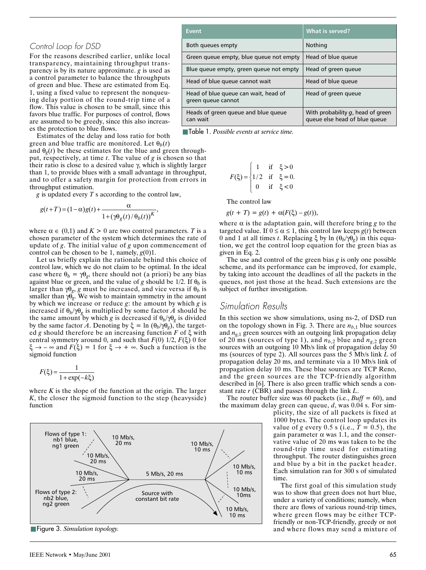## *Control Loop for DSD*

For the reasons described earlier, unlike local transparency, maintaining throughput transparency is by its nature approximate. *g* is used as a control parameter to balance the throughputs of green and blue. These are estimated from Eq. 1, using a fixed value to represent the nonqueuing delay portion of the round-trip time of a flow. This value is chosen to be small, since this favors blue traffic. For purposes of control, flows are assumed to be greedy, since this also increases the protection to blue flows.

Estimates of the delay and loss ratio for both green and blue traffic are monitored. Let  $\theta_b(t)$ 

and  $\theta_{\varrho}(t)$  be these estimates for the blue and green throughput, respectively, at time *t*. The value of *g* is chosen so that their ratio is close to a desired value  $\gamma$ , which is slightly larger than 1, to provide blues with a small advantage in throughput, and to offer a safety margin for protection from errors in throughput estimation.

*g* is updated every *T* s according to the control law,

$$
g(t+T)=(1-\alpha)g(t)+\frac{\alpha}{1+(\gamma\theta_g(t)/\theta_b(t))^K},
$$

where  $\alpha \in (0,1)$  and  $K > 0$  are two control parameters. *T* is a chosen parameter of the system which determines the rate of update of *g*. The initial value of *g* upon commencement of control can be chosen to be 1, namely,  $g(0)1$ .

Let us briefly explain the rationale behind this choice of control law, which we do not claim to be optimal. In the ideal case where  $\theta_b = \gamma \theta_g$ , there should not (a priori) be any bias against blue or green, and the value of *g* should be 1/2. If  $\theta_b$  is larger than  $\gamma \theta_g$ , *g* must be increased, and vice versa if  $\theta_b$  is smaller than  $\gamma \theta_g$ . We wish to maintain symmetry in the amount by which we increase or reduce *g*: the amount by which *g* is increased if  $\theta_b/\gamma \theta_g$  is multiplied by some factor *A* should be the same amount by which *g* is decreased if  $\theta_b/\gamma \theta_g$  is divided by the same factor *A*. Denoting by  $\xi = \ln(\theta_b/\gamma \theta_g)$ , the targeted *g* should therefore be an increasing function  $F$  of  $\xi$  with central symmetry around 0, and such that  $F(0)$  1/2,  $F(\xi)$  0 for  $\xi \rightarrow -\infty$  and  $F(\xi) = 1$  for  $\xi \rightarrow +\infty$ . Such a function is the sigmoid function

$$
F(\xi) = \frac{1}{1 + \exp(-k\xi)}
$$

where *K* is the slope of the function at the origin. The larger *K*, the closer the sigmoid function to the step (heavyside) function



■ Figure 3. *Simulation topology*.

| Event                                                      | <b>What is served?</b>                                                |
|------------------------------------------------------------|-----------------------------------------------------------------------|
| Both queues empty                                          | Nothing                                                               |
| Green queue empty, blue queue not empty                    | Head of blue queue                                                    |
| Blue queue empty, green queue not empty                    | Head of green queue                                                   |
| Head of blue queue cannot wait                             | Head of blue queue                                                    |
| Head of blue queue can wait, head of<br>green queue cannot | Head of green queue                                                   |
| Heads of green queue and blue queue<br>can wait            | With probability $g$ , head of green<br>queue else head of blue queue |

■ Table 1. *Possible events at service time.*

$$
F(\xi) = \begin{cases} 1 & \text{if } \xi > 0 \\ 1/2 & \text{if } \xi = 0. \\ 0 & \text{if } \xi < 0 \end{cases}
$$

The control law

 $g(t + T) = g(t) + \alpha(F(\xi) - g(t)),$ 

where  $\alpha$  is the adaptation gain, will therefore bring  $g$  to the targeted value. If  $0 \le \alpha \le 1$ , this control law keeps *g*(*t*) between 0 and 1 at all times *t*. Replacing  $\xi$  by ln  $(\theta_b/\gamma \theta_g)$  in this equation, we get the control loop equation for the green bias as given in Eq. 2.

The use and control of the green bias *g* is only one possible scheme, and its performance can be improved, for example, by taking into account the deadlines of all the packets in the queues, not just those at the head. Such extensions are the subject of further investigation.

## *Simulation Results*

In this section we show simulations, using ns-2, of DSD run on the topology shown in Fig. 3. There are  $n_{b,1}$  blue sources and  $n_{g,1}$  green sources with an outgoing link propagation delay of 20 ms (sources of type 1), and  $n_{b,2}$  blue and  $n_{g,2}$  green sources with an outgoing 10 Mb/s link of propagation delay 50 ms (sources of type 2). All sources pass the 5 Mb/s link *L* of propagation delay 20 ms, and terminate via a 10 Mb/s link of propagation delay 10 ms. These blue sources are TCP Reno, and the green sources are the TCP-friendly algorithm described in [6]. There is also green traffic which sends a constant rate *r* (CBR) and passes through the link *L*.

The router buffer size was 60 packets (i.e., *Buff* = 60), and the maximum delay green can queue, *d*, was 0.04 s. For sim-

plicity, the size of all packets is fixed at 1000 bytes. The control loop updates its value of *g* every 0.5 s (i.e.,  $T = 0.5$ ), the gain parameter  $\alpha$  was 1.1, and the conservative value of 20 ms was taken to be the round-trip time used for estimating throughput. The router distinguishes green and blue by a bit in the packet header. Each simulation ran for 300 s of simulated time.

The first goal of this simulation study was to show that green does not hurt blue, under a variety of conditions; namely, when there are flows of various round-trip times, where green flows may be either TCPfriendly or non-TCP-friendly, greedy or not and where flows may send a mixture of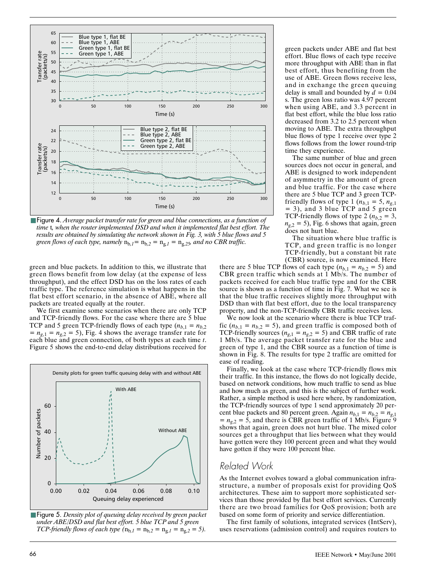

■ Figure 4. *Average packet transfer rate for green and blue connections, as a function of time* t*, when the router implemented DSD and when it implemented flat best effort. The results are obtained by simulating the network shown in Fig. 3, with 5 blue flows and 5 green flows of each type, namely*  $n_{b,1} = n_{b,2} = n_{g,1} = n_{g,25}$  *and no CBR traffic.* 

green and blue packets. In addition to this, we illustrate that green flows benefit from low delay (at the expense of less throughput), and the effect DSD has on the loss rates of each traffic type. The reference simulation is what happens in the flat best effort scenario, in the absence of ABE, where all packets are treated equally at the router.

We first examine some scenarios when there are only TCP and TCP-friendly flows. For the case where there are 5 blue TCP and 5 green TCP-friendly flows of each type  $(n_{b,1} = n_{b,2})$  $n_{g,1} = n_{g,2} = 5$ , Fig. 4 shows the average transfer rate for each blue and green connection, of both types at each time *t*. Figure 5 shows the end-to-end delay distributions received for



■ Figure 5. *Density plot of queuing delay received by green packet under ABE/DSD and flat best effort. 5 blue TCP and 5 green TCP-friendly flows of each type*  $(n_{b,1} = n_{b,2} = n_{g,1} = n_{g,2} = 5)$ .

green packets under ABE and flat best effort. Blue flows of each type receive more throughput with ABE than in flat best effort, thus benefiting from the use of ABE. Green flows receive less, and in exchange the green queuing delay is small and bounded by  $d = 0.04$ s. The green loss ratio was 4.97 percent when using ABE, and 3.3 percent in flat best effort, while the blue loss ratio decreased from 3.2 to 2.5 percent when moving to ABE. The extra throughput blue flows of type 1 receive over type 2 flows follows from the lower round-trip time they experience.

The same number of blue and green sources does not occur in general, and ABE is designed to work independent of asymmetry in the amount of green and blue traffic. For the case where there are 5 blue TCP and 3 green TCPfriendly flows of type 1 ( $n_{b,1} = 5$ ,  $n_{g,1}$ ) = 3), and 3 blue TCP and 5 green TCP-friendly flows of type 2 ( $n_{b,2} = 3$ ,  $n_{g,2} = 5$ ), Fig. 6 shows that again, green does not hurt blue.

The situation where blue traffic is TCP, and green traffic is no longer TCP-friendly, but a constant bit rate (CBR) source, is now examined. Here

there are 5 blue TCP flows of each type  $(n_{b,1} = n_{b,2} = 5)$  and CBR green traffic which sends at 1 Mb/s. The number of packets received for each blue traffic type and for the CBR source is shown as a function of time in Fig. 7. What we see is that the blue traffic receives slightly more throughput with DSD than with flat best effort, due to the local transparency property, and the non-TCP-friendly CBR traffic receives less.

We now look at the scenario where there is blue TCP traffic ( $n_{b,1} = n_{b,2} = 5$ ), and green traffic is composed both of TCP-friendly sources ( $n_{g,1} = n_{g,2} = 5$ ) and CBR traffic of rate 1 Mb/s. The average packet transfer rate for the blue and green of type 1, and the CBR source as a function of time is shown in Fig. 8. The results for type 2 traffic are omitted for ease of reading.

Finally, we look at the case where TCP-friendly flows mix their traffic. In this instance, the flows do not logically decide, based on network conditions, how much traffic to send as blue and how much as green, and this is the subject of further work. Rather, a simple method is used here where, by randomization, the TCP-friendly sources of type 1 send approximately 20 percent blue packets and 80 percent green. Again  $n_{b,1} = n_{b,2} = n_{g,1}$  $= n_{g,2} = 5$ , and there is CBR green traffic of 1 Mb/s. Figure 9 shows that again, green does not hurt blue. The mixed color sources get a throughput that lies between what they would have gotten were they 100 percent green and what they would have gotten if they were 100 percent blue.

# *Related Work*

As the Internet evolves toward a global communication infrastructure, a number of proposals exist for providing QoS architectures. These aim to support more sophisticated services than those provided by flat best effort services. Currently there are two broad families for QoS provision; both are based on some form of priority and service differentiation.

The first family of solutions, integrated services (IntServ), uses reservations (admission control) and requires routers to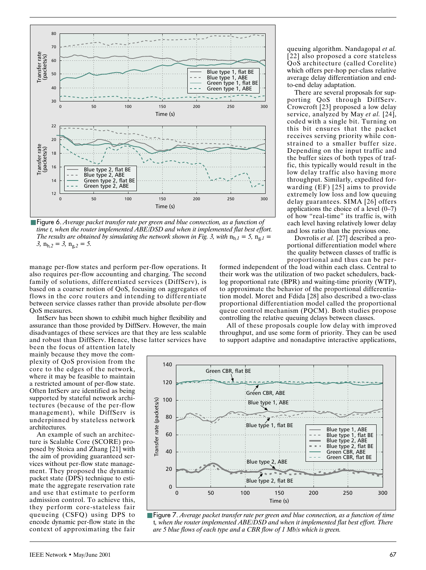

■ Figure 6. *Average packet transfer rate per green and blue connection, as a function of time t, when the router implemented ABE/DSD and when it implemented flat best effort. The results are obtained by simulating the network shown in Fig. 3, with*  $n_{b,I} = 5$ ,  $n_{g,I} =$ *3,*  $n_{b,2} = 3$ ,  $n_{g,2} = 5$ .

manage per-flow states and perform per-flow operations. It also requires per-flow accounting and charging. The second family of solutions, differentiated services (DiffServ), is based on a coarser notion of QoS, focusing on aggregates of flows in the core routers and intending to differentiate between service classes rather than provide absolute per-flow QoS measures.

IntServ has been shown to exhibit much higher flexibility and assurance than those provided by DiffServ. However, the main disadvantages of these services are that they are less scalable and robust than DiffServ. Hence, these latter services have

been the focus of attention lately mainly because they move the complexity of QoS provision from the core to the edges of the network, where it may be feasible to maintain a restricted amount of per-flow state. Often IntServ are identified as being supported by stateful network architectures (because of the per-flow management), while DiffServ is underpinned by stateless network architectures.

An example of such an architecture is Scalable Core (SCORE) proposed by Stoica and Zhang [21] with the aim of providing guaranteed services without per-flow state management. They proposed the dynamic packet state (DPS) technique to estimate the aggregate reservation rate and use that estimate to perform admission control. To achieve this, they perform core-stateless fair queueing (CSFQ) using DPS to encode dynamic per-flow state in the context of approximating the fair queuing algorithm. Nandagopal *et al.* [22] also proposed a core stateless QoS architecture (called Corelite) which offers per-hop per-class relative average delay differentiation and endto-end delay adaptation.

There are several proposals for supporting QoS through DiffServ. Crowcroft [23] proposed a low delay service, analyzed by May *et al.* [24], coded with a single bit. Turning on this bit ensures that the packet receives serving priority while constrained to a smaller buffer size. Depending on the input traffic and the buffer sizes of both types of traffic, this typically would result in the low delay traffic also having more throughput. Similarly, expedited forwarding (EF) [25] aims to provide extremely low loss and low queuing delay guarantees. SIMA [26] offers applications the choice of a level  $(0-7)$ of how "real-time" its traffic is, with each level having relatively lower delay and loss ratio than the previous one.

Dovrolis *et al.* [27] described a proportional differentiation model where the quality between classes of traffic is proportional and thus can be per-

formed independent of the load within each class. Central to their work was the utilization of two packet schedulers, backlog proportional rate (BPR) and waiting-time priority (WTP), to approximate the behavior of the proportional differentiation model. Moret and Fdida [28] also described a two-class proportional differentiation model called the proportional queue control mechanism (PQCM). Both studies propose controlling the relative queuing delays between classes.

All of these proposals couple low delay with improved throughput, and use some form of priority. They can be used to support adaptive and nonadaptive interactive applications,



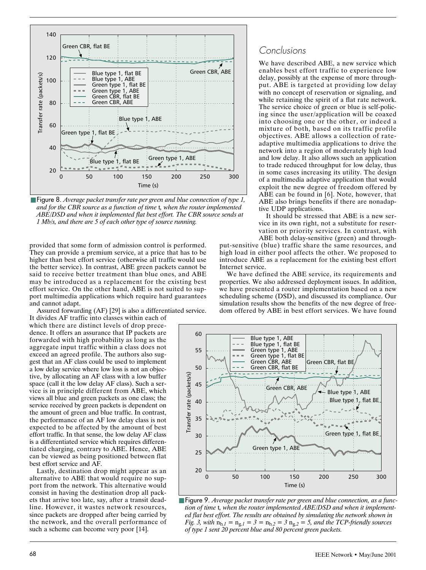

■ Figure 8. *Average packet transfer rate per green and blue connection of type 1*, *and for the CBR source as a function of time* t*, when the router implemented ABE/DSD and when it implemented flat best effort. The CBR source sends at 1 Mb/s, and there are 5 of each other type of source running.*

provided that some form of admission control is performed. They can provide a premium service, at a price that has to be higher than best effort service (otherwise all traffic would use the better service). In contrast, ABE green packets cannot be said to receive better treatment than blue ones, and ABE may be introduced as a replacement for the existing best effort service. On the other hand, ABE is not suited to support multimedia applications which require hard guarantees and cannot adapt.

Assured forwarding (AF) [29] is also a differentiated service.

It divides AF traffic into classes within each of which there are distinct levels of drop precedence. It offers an assurance that IP packets are forwarded with high probability as long as the aggregate input traffic within a class does not exceed an agreed profile. The authors also suggest that an AF class could be used to implement a low delay service where low loss is not an objective, by allocating an AF class with a low buffer space (call it the low delay AF class). Such a service is in principle different from ABE, which views all blue and green packets as one class; the service received by green packets is dependent on the amount of green and blue traffic. In contrast, the performance of an AF low delay class is not expected to be affected by the amount of best effort traffic. In that sense, the low delay AF class is a differentiated service which requires differentiated charging, contrary to ABE. Hence, ABE can be viewed as being positioned between flat best effort service and AF.

Lastly, destination drop might appear as an alternative to ABE that would require no support from the network. This alternative would consist in having the destination drop all packets that arrive too late, say, after a transit deadline. However, it wastes network resources, since packets are dropped after being carried by the network, and the overall performance of such a scheme can become very poor [14].

# *Conclusions*

We have described ABE, a new service which enables best effort traffic to experience low delay, possibly at the expense of more throughput. ABE is targeted at providing low delay with no concept of reservation or signaling, and while retaining the spirit of a flat rate network. The service choice of green or blue is self-policing since the user/application will be coaxed into choosing one or the other, or indeed a mixture of both, based on its traffic profile objectives. ABE allows a collection of rateadaptive multimedia applications to drive the network into a region of moderately high load and low delay. It also allows such an application to trade reduced throughput for low delay, thus in some cases increasing its utility. The design of a multimedia adaptive application that would exploit the new degree of freedom offered by ABE can be found in [6]. Note, however, that ABE also brings benefits if there are nonadaptive UDP applications.

It should be stressed that ABE is a new service in its own right, not a substitute for reservation or priority services. In contrast, with ABE both delay-sensitive (green) and through-

put-sensitive (blue) traffic share the same resources, and high load in either pool affects the other. We proposed to introduce ABE as a replacement for the existing best effort Internet service.

We have defined the ABE service, its requirements and properties. We also addressed deployment issues. In addition, we have presented a router implementation based on a new scheduling scheme (DSD), and discussed its compliance. Our simulation results show the benefits of the new degree of freedom offered by ABE in best effort services. We have found



■ **Figure 9**. *Average packet transfer rate per green and blue connection, as a function of time* t*, when the router implemented ABE/DSD and when it implemented flat best effort. The results are obtained by simulating the network shown in Fig. 3, with*  $n_{b,1} = n_{g,1} = 3 = n_{b,2} = 3$   $n_{g,2} = 5$ , and the TCP-friendly sources *of type 1 sent 20 percent blue and 80 percent green packets.*